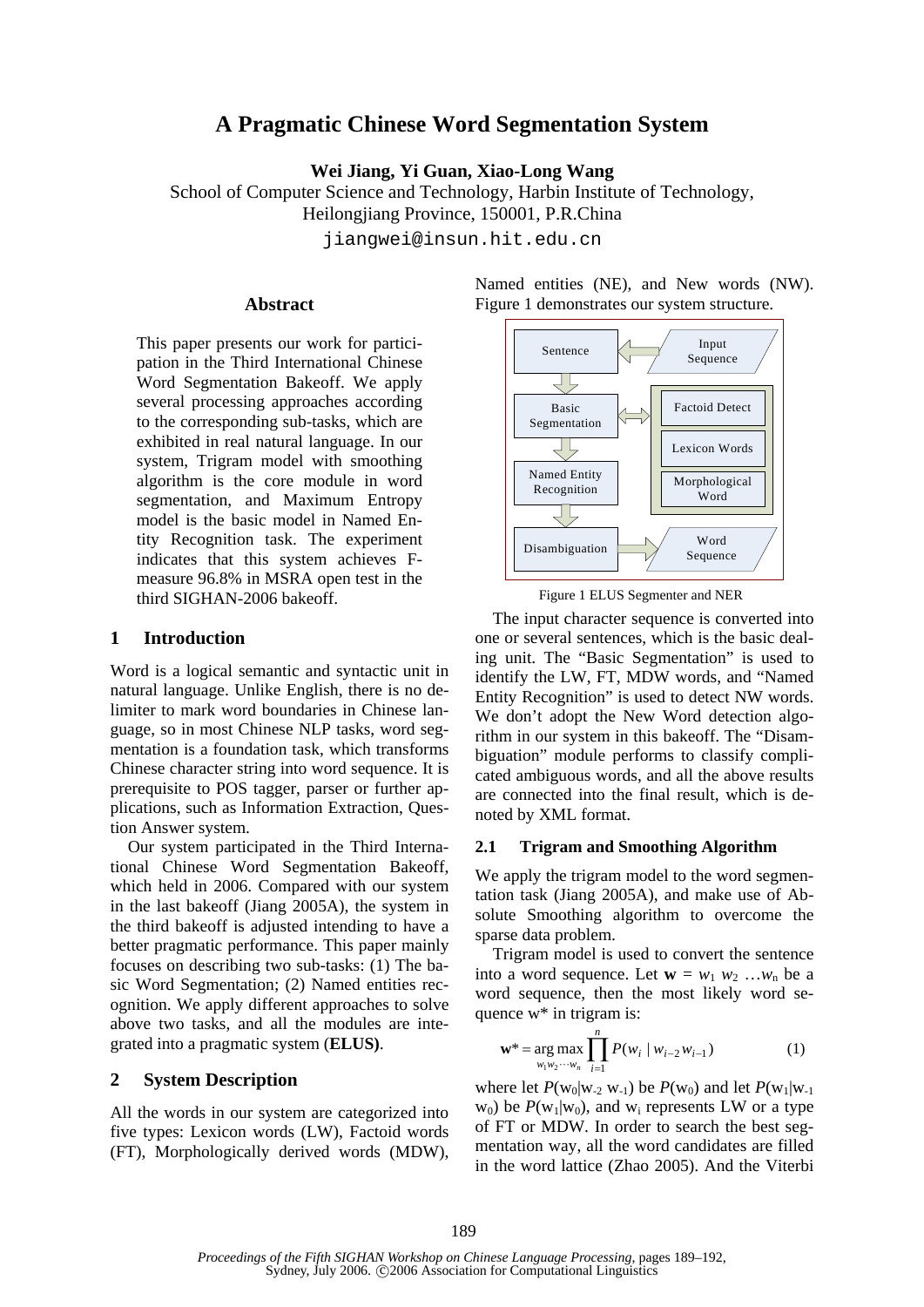# **A Pragmatic Chinese Word Segmentation System**

**Wei Jiang, Yi Guan, Xiao-Long Wang** 

School of Computer Science and Technology, Harbin Institute of Technology,

Heilongjiang Province, 150001, P.R.China

jiangwei@insun.hit.edu.cn

## **Abstract**

This paper presents our work for participation in the Third International Chinese Word Segmentation Bakeoff. We apply several processing approaches according to the corresponding sub-tasks, which are exhibited in real natural language. In our system, Trigram model with smoothing algorithm is the core module in word segmentation, and Maximum Entropy model is the basic model in Named Entity Recognition task. The experiment indicates that this system achieves Fmeasure 96.8% in MSRA open test in the third SIGHAN-2006 bakeoff.

## **1 Introduction**

Word is a logical semantic and syntactic unit in natural language. Unlike English, there is no delimiter to mark word boundaries in Chinese language, so in most Chinese NLP tasks, word segmentation is a foundation task, which transforms Chinese character string into word sequence. It is prerequisite to POS tagger, parser or further applications, such as Information Extraction, Question Answer system.

Our system participated in the Third International Chinese Word Segmentation Bakeoff, which held in 2006. Compared with our system in the last bakeoff (Jiang 2005A), the system in the third bakeoff is adjusted intending to have a better pragmatic performance. This paper mainly focuses on describing two sub-tasks: (1) The basic Word Segmentation; (2) Named entities recognition. We apply different approaches to solve above two tasks, and all the modules are integrated into a pragmatic system (**ELUS)**.

## **2 System Description**

All the words in our system are categorized into five types: Lexicon words (LW), Factoid words (FT), Morphologically derived words (MDW), Named entities (NE), and New words (NW). Figure 1 demonstrates our system structure.





The input character sequence is converted into one or several sentences, which is the basic dealing unit. The "Basic Segmentation" is used to identify the LW, FT, MDW words, and "Named Entity Recognition" is used to detect NW words. We don't adopt the New Word detection algorithm in our system in this bakeoff. The "Disambiguation" module performs to classify complicated ambiguous words, and all the above results are connected into the final result, which is denoted by XML format.

#### **2.1 Trigram and Smoothing Algorithm**

We apply the trigram model to the word segmentation task (Jiang 2005A), and make use of Absolute Smoothing algorithm to overcome the sparse data problem.

Trigram model is used to convert the sentence into a word sequence. Let  $\mathbf{w} = w_1 \ w_2 \ ... \ w_n$  be a word sequence, then the most likely word sequence w\* in trigram is:

*n*

$$
\mathbf{w}^* = \underset{w_1 w_2 \cdots w_n}{\arg \max} \prod_{i=1} P(w_i \mid w_{i-2} w_{i-1})
$$
 (1)

where let  $P(w_0|w_2 w_1)$  be  $P(w_0)$  and let  $P(w_1|w_1)$  $w_0$ ) be  $P(w_1|w_0)$ , and  $w_i$  represents LW or a type of FT or MDW. In order to search the best segmentation way, all the word candidates are filled in the word lattice (Zhao 2005). And the Viterbi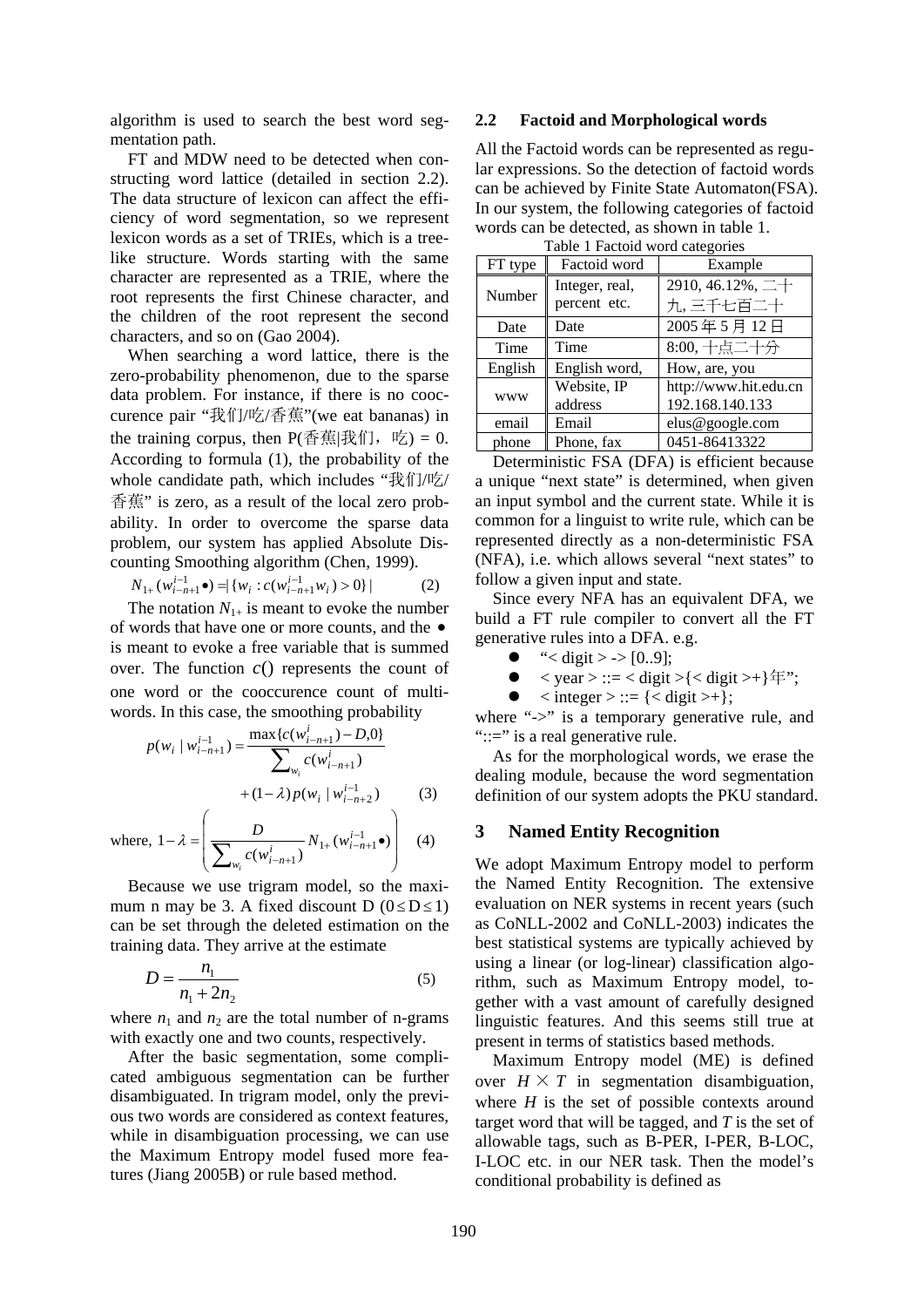algorithm is used to search the best word segmentation path.

FT and MDW need to be detected when constructing word lattice (detailed in section 2.2). The data structure of lexicon can affect the efficiency of word segmentation, so we represent lexicon words as a set of TRIEs, which is a treelike structure. Words starting with the same character are represented as a TRIE, where the root represents the first Chinese character, and the children of the root represent the second characters, and so on (Gao 2004).

When searching a word lattice, there is the zero-probability phenomenon, due to the sparse data problem. For instance, if there is no cooccurence pair "我们/吃/香蕉"(we eat bananas) in the training corpus, then  $P(\overline{\Phi}$ 蕉|我们, 吃) = 0. According to formula (1), the probability of the whole candidate path, which includes "我们/吃/ 香蕉" is zero, as a result of the local zero probability. In order to overcome the sparse data problem, our system has applied Absolute Discounting Smoothing algorithm (Chen, 1999).

$$
N_{1+}(w_{i-n+1}^{i-1}\bullet) = \{w_i : c(w_{i-n+1}^{i-1}w_i) > 0\} \tag{2}
$$

The notation  $N_{1+}$  is meant to evoke the number of words that have one or more counts, and the • is meant to evoke a free variable that is summed over. The function  $c()$  represents the count of one word or the cooccurence count of multiwords. In this case, the smoothing probability

$$
p(w_i | w_{i-n+1}^{i-1}) = \frac{\max\{c(w_{i-n+1}^i) - D, 0\}}{\sum_{w_i} c(w_{i-n+1}^i)}
$$
  
+  $(1 - \lambda) p(w_i | w_{i-n+2}^{i-1})$  (3)

where, ⎟ ⎟ ⎟ ⎠ ⎞  $\mathsf I$  $\mathsf I$  $\mathsf I$ ⎝ ⎛  $-\lambda = \frac{D}{\sum_{i=1}^n N_{1+}} (w_{i-n+1}^{i-1})$  $\sum_{w_i}^{\mathbf{D}} c(w_{i-n+1}^i)^{N_{1+}(w_{i-n+1}^{i-1}\bullet)}$  $(w_{i-n+1}^l)$  $1 - \lambda = \frac{D}{\sum_{i=1}^{n} N_{i+1}(w_{i-n+1}^{i-1})}$ 1 *i i n w i i n*  $N_{1+}$  (w *c w D i*  $\lambda = \frac{E}{\sqrt{1 + (W_{i-n+1}^{l-1} \bullet)}}$  (4)

Because we use trigram model, so the maximum n may be 3. A fixed discount D  $(0 \leq D \leq 1)$ can be set through the deleted estimation on the training data. They arrive at the estimate

$$
D = \frac{n_1}{n_1 + 2n_2} \tag{5}
$$

where  $n_1$  and  $n_2$  are the total number of n-grams with exactly one and two counts, respectively.

After the basic segmentation, some complicated ambiguous segmentation can be further disambiguated. In trigram model, only the previous two words are considered as context features, while in disambiguation processing, we can use the Maximum Entropy model fused more features (Jiang 2005B) or rule based method.

## **2.2 Factoid and Morphological words**

All the Factoid words can be represented as regular expressions. So the detection of factoid words can be achieved by Finite State Automaton(FSA). In our system, the following categories of factoid words can be detected, as shown in table 1.

| Table I ractorul woru categories |                                |                                                     |  |  |
|----------------------------------|--------------------------------|-----------------------------------------------------|--|--|
| FT type                          | Factoid word                   | Example                                             |  |  |
| Number                           | Integer, real,<br>percent etc. | 2910, 46.12%, $\pm$ +<br>九,三千七百二十                   |  |  |
| Date                             | Date                           | 2005年5月12日                                          |  |  |
| Time                             | Time                           | $8:00, +\frac{1}{10} - \frac{1}{10} + \frac{1}{10}$ |  |  |
| English                          | English word,                  | How, are, you                                       |  |  |
| <b>WWW</b>                       | Website, IP<br>address         | http://www.hit.edu.cn<br>192.168.140.133            |  |  |
| email                            | Email                          | elus@google.com                                     |  |  |
| phone                            | Phone, fax                     | 0451-86413322                                       |  |  |

Table 1 Factoid word categorie

Deterministic FSA (DFA) is efficient because a unique "next state" is determined, when given an input symbol and the current state. While it is common for a linguist to write rule, which can be represented directly as a non-deterministic FSA (NFA), i.e. which allows several "next states" to follow a given input and state.

Since every NFA has an equivalent DFA, we build a FT rule compiler to convert all the FT generative rules into a DFA. e.g.

- " $\lt$  digit > -> [0..9];
- $\bullet$  < year > ::= < digit >{< digit >+} \frac{\math}{\*'';
- $\bullet \quad$  < integer > ::= {< digit >+};

where "->" is a temporary generative rule, and "::=" is a real generative rule.

As for the morphological words, we erase the dealing module, because the word segmentation definition of our system adopts the PKU standard.

#### **3 Named Entity Recognition**

We adopt Maximum Entropy model to perform the Named Entity Recognition. The extensive evaluation on NER systems in recent years (such as CoNLL-2002 and CoNLL-2003) indicates the best statistical systems are typically achieved by using a linear (or log-linear) classification algorithm, such as Maximum Entropy model, together with a vast amount of carefully designed linguistic features. And this seems still true at present in terms of statistics based methods.

Maximum Entropy model (ME) is defined over  $H \times T$  in segmentation disambiguation, where  $H$  is the set of possible contexts around target word that will be tagged, and *T* is the set of allowable tags, such as B-PER, I-PER, B-LOC, I-LOC etc. in our NER task. Then the model's conditional probability is defined as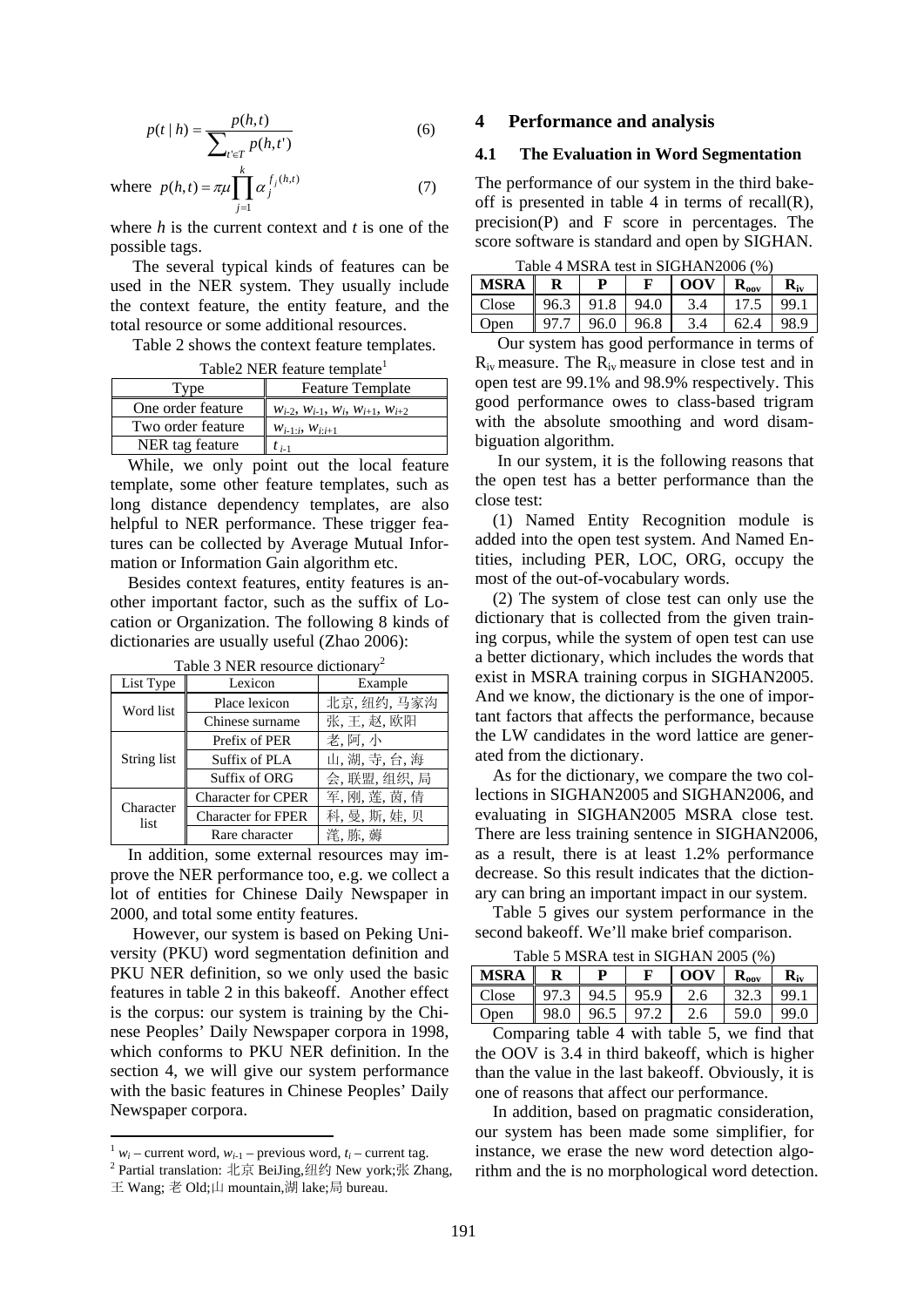$$
p(t | h) = \frac{p(h, t)}{\sum_{t' \in T} p(h, t')}
$$
 (6)

where 
$$
p(h,t) = \pi \mu \prod_{j=1}^{k} \alpha_j^{f_j(h,t)}
$$
 (7)

where *h* is the current context and *t* is one of the possible tags.

The several typical kinds of features can be used in the NER system. They usually include the context feature, the entity feature, and the total resource or some additional resources.

Table 2 shows the context feature templates.

Table<sup>2</sup> NER feature template<sup>1</sup>

| <b>Type</b>       | <b>Feature Template</b>                               |  |  |
|-------------------|-------------------------------------------------------|--|--|
| One order feature | $W_{i-2}$ , $W_{i-1}$ , $W_i$ , $W_{i+1}$ , $W_{i+2}$ |  |  |
| Two order feature | $W_{i-1:i}, W_{i:i+1}$                                |  |  |
| NER tag feature   | $t_{i-1}$                                             |  |  |

While, we only point out the local feature template, some other feature templates, such as long distance dependency templates, are also helpful to NER performance. These trigger features can be collected by Average Mutual Information or Information Gain algorithm etc.

Besides context features, entity features is another important factor, such as the suffix of Location or Organization. The following 8 kinds of dictionaries are usually useful (Zhao 2006):

| List Type         | Lexicon                   | Example       |  |  |  |
|-------------------|---------------------------|---------------|--|--|--|
| Word list         | Place lexicon             | 北京, 纽约, 马家沟   |  |  |  |
|                   | Chinese surname           | 张,王,赵,欧阳      |  |  |  |
|                   | Prefix of PER             | 老. 阿. 小       |  |  |  |
| String list       | Suffix of PLA             | 山,湖,寺,台,海     |  |  |  |
|                   | Suffix of ORG             | 会, 联盟, 组织, 局  |  |  |  |
| Character<br>list | <b>Character for CPER</b> | 军, 刚, 莲, 茵, 倩 |  |  |  |
|                   | <b>Character for FPER</b> | 科, 曼, 斯, 娃, 贝 |  |  |  |
|                   | Rare character            | 滗,胨,薅         |  |  |  |

Table 3 NER resource dictionary<sup>2</sup>

In addition, some external resources may improve the NER performance too, e.g. we collect a lot of entities for Chinese Daily Newspaper in 2000, and total some entity features.

However, our system is based on Peking University (PKU) word segmentation definition and PKU NER definition, so we only used the basic features in table 2 in this bakeoff. Another effect is the corpus: our system is training by the Chinese Peoples' Daily Newspaper corpora in 1998, which conforms to PKU NER definition. In the section 4, we will give our system performance with the basic features in Chinese Peoples' Daily Newspaper corpora.

## **4 Performance and analysis**

# **4.1 The Evaluation in Word Segmentation**

The performance of our system in the third bakeoff is presented in table 4 in terms of recall $(R)$ , precision(P) and F score in percentages. The score software is standard and open by SIGHAN.

| Table 4 MSRA test in SIGHAN2006 (%) |      |           |      |     |                           |      |
|-------------------------------------|------|-----------|------|-----|---------------------------|------|
| <b>MSRA</b> I                       |      | р         |      | 00V | $\mathbf{R}_{\text{oov}}$ |      |
| Close                               |      | 96.3 91.8 | 94.0 | 3.4 | 17.5                      | 99.1 |
| Open                                | 97.7 | 96.0      | 96.8 | 3.4 | 62.4                      |      |

Our system has good performance in terms of  $R_{iv}$  measure. The  $R_{iv}$  measure in close test and in open test are 99.1% and 98.9% respectively. This good performance owes to class-based trigram with the absolute smoothing and word disambiguation algorithm.

In our system, it is the following reasons that the open test has a better performance than the close test:

(1) Named Entity Recognition module is added into the open test system. And Named Entities, including PER, LOC, ORG, occupy the most of the out-of-vocabulary words.

(2) The system of close test can only use the dictionary that is collected from the given training corpus, while the system of open test can use a better dictionary, which includes the words that exist in MSRA training corpus in SIGHAN2005. And we know, the dictionary is the one of important factors that affects the performance, because the LW candidates in the word lattice are generated from the dictionary.

As for the dictionary, we compare the two collections in SIGHAN2005 and SIGHAN2006, and evaluating in SIGHAN2005 MSRA close test. There are less training sentence in SIGHAN2006, as a result, there is at least 1.2% performance decrease. So this result indicates that the dictionary can bring an important impact in our system.

Table 5 gives our system performance in the second bakeoff. We'll make brief comparison.

Table 5 MSRA test in SIGHAN 2005 (%)

| <b>MSRA</b> |      | D    | F    | <b>OOV</b> | $R_{\rm oov}$ |             |
|-------------|------|------|------|------------|---------------|-------------|
| Close       | 97.3 | 94.5 | 95.9 | 2.6        | 32.3          | 99.         |
| Open        | 98.0 | 96.5 | 97.2 | 2.6        | 59.0          | 99.0        |
|             |      | .11  |      |            |               | $1 \cdot 1$ |

Comparing table 4 with table 5, we find that the OOV is 3.4 in third bakeoff, which is higher than the value in the last bakeoff. Obviously, it is one of reasons that affect our performance.

In addition, based on pragmatic consideration, our system has been made some simplifier, for instance, we erase the new word detection algorithm and the is no morphological word detection.

 $\frac{1}{2} w_i$  – current word,  $w_{i-1}$  – previous word,  $t_i$  – current tag.

<sup>&</sup>lt;sup>2</sup> Partial translation: 北京 BeiJing,纽约 New york;张 Zhang,

王 Wang; 老 Old;山 mountain,湖 lake;局 bureau.